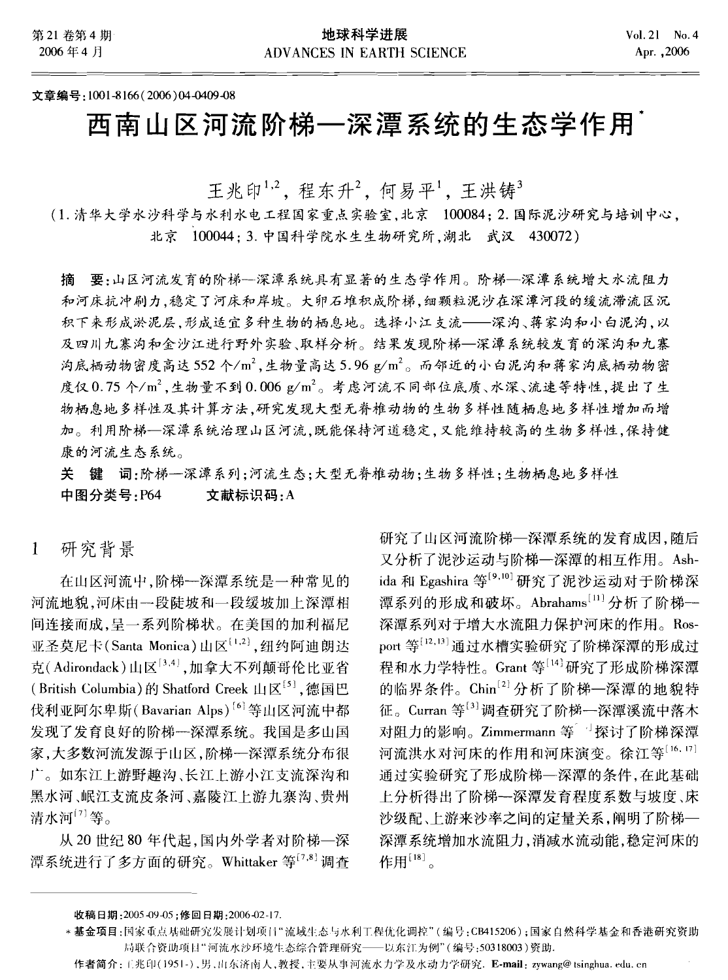### 文章编号:1001-8166(2006)04-0409-08

# 西南山区河流阶梯一深潭系统的生态学作用

王兆印<sup>1,2</sup>,程东升<sup>2</sup>,何易平<sup>1</sup>,王洪铸<sup>3</sup>

(1. 清华大学水沙科学与水利水电工程国家重点实验室,北京 100084; 2. 国际泥沙研究与培训中心, 北京 100044: 3. 中国科学院水生生物研究所,湖北 武汉 430072)

摘 要:山区河流发育的阶梯--深潭系统具有显著的生态学作用。阶梯--深潭系统增大水流阻力 和河床抗冲刷力,稳定了河床和岸坡。大卵石堆积成阶梯,细颗粒泥沙在深潭河段的缓流滞流区沉 积下来形成淤泥层,形成适宜多种生物的栖息地。选择小江支流 -- 深沟、蒋家沟和小白泥沟,以 及四川九寨沟和金沙江进行野外实验、取样分析。结果发现阶梯--深潭系统较发育的深沟和九寨 沟底栖动物密度高达552个/m2,生物量高达5.96 g/m2。而邻近的小白泥沟和蒋家沟底栖动物密 度仅0.75个/m2,生物量不到0.006 g/m2。考虑河流不同部位底质、水深、流速等特性,提出了生 物栖息地多样性及其计算方法,研究发现大型无脊椎动物的生物多样性随栖息地多样性增加而增 加。利用阶梯--深潭系统治理山区河流,既能保持河道稳定,又能维持较高的生物多样性,保持健 康的河流生态系统。

关 键 词:阶梯一深潭系列:河流生态:大型无脊椎动物:生物多样性:生物栖息地多样性 中图分类号:P64 文献标识码:A

研究背景  $\mathbf{1}$ 

在山区河流中,阶梯---深潭系统是一种常见的 河流地貌,河床由一段陡坡和一段缓坡加上深潭相 间连接而成,呈一系列阶梯状。在美国的加利福尼 亚圣莫尼卡(Santa Monica)山区[1,2], 纽约阿迪朗达 克(Adirondack)山区[3,4],加拿大不列颠哥伦比亚省 (British Columbia)的 Shatford Creek 山区<sup>[5]</sup>, 德国巴 伐利亚阿尔卑斯(Bavarian Alps)<sup>[6]</sup>等山区河流中都 发现了发育良好的阶梯一深潭系统。我国是多山国 家,大多数河流发源于山区,阶梯一深潭系统分布很 广。如东江上游野趣沟、长江上游小江支流深沟和 黑水河、岷江支流皮条河、嘉陵江上游九寨沟、贵州 清水河<sup>[7]</sup>等。

从 20 世纪 80 年代起, 国内外学者对阶梯--深 潭系统进行了多方面的研究。Whittaker 等[7,8] 调杳

研究了山区河流阶梯--深潭系统的发育成因. 随后 又分析了泥沙运动与阶梯一深潭的相互作用。Ashida 和 Egashira 等<sup>[9,10]</sup> 研究了泥沙运动对于阶梯深 潭系列的形成和破坏。Abrahams[11] 分析了阶梯--深潭系列对于增大水流阻力保护河床的作用。Rosport 等[12,13] 通过水槽实验研究了阶梯深潭的形成过 程和水力学特性。Grant 等[14]研究了形成阶梯深潭 的临界条件。Chin[2] 分析了阶梯一深潭的地貌特 征。Curran 等[3] 调查研究了阶梯一深潭溪流中落木 对阻力的影响。Zimmermann 等<sup>向</sup>探讨了阶梯深潭 河流洪水对河床的作用和河床演变。徐江等[16.17] 通过实验研究了形成阶梯--深潭的条件,在此基础 上分析得出了阶梯一深潭发育程度系数与坡度、床 沙级配、上游来沙率之间的定量关系,阐明了阶梯--深潭系统增加水流阻力,消减水流动能,稳定河床的 作用[18]。

收稿日期: 2005-09-05; 修回日期: 2006-02-17.

<sup>\*</sup> 基金项目:国家重点基础研究发展计划项目"流域生态与水利工程优化调控"(编号:CB415206);国家自然科学基金和香港研究资助 局联合资助项目"河流水沙环境生态综合管理研究——以东江为例"(编号:50318003)资助.

作者简介:工兆印(1951-),男,山东济南人,教授,主要从事河流水力学及水动力学研究. E-mail: zywang@tsinghua.edu.cn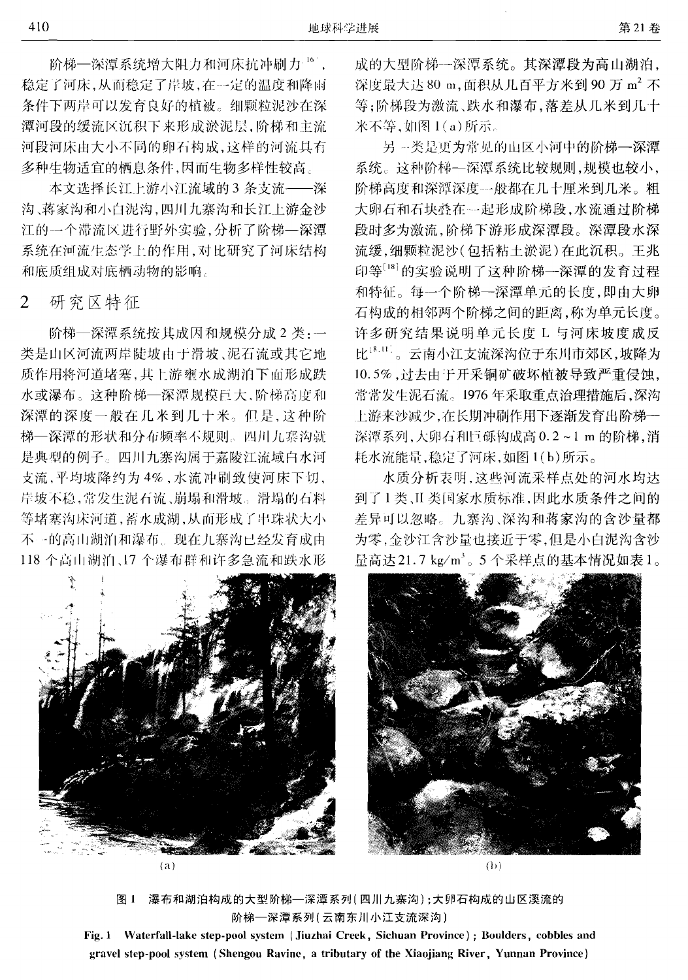阶梯--深潭系统增大阳力和河床抗冲刷力16]。 稳定了河床,从而稳定了岸坡,在一定的温度和降雨 条件下两岸可以发育良好的植被。细颗粒泥沙在深 潭河段的缓流区沉积下来形成淤泥层,阶梯和主流 河段河床由大小不同的卵石构成,这样的河流具有 多种生物适宜的栖息条件,因而生物多样性较高。

本文选择长江上游小江流域的3条支流 -- 深 沟、蒋家沟和小白泥沟,四川九寨沟和长江上游金沙 江的一个滞流区进行野外实验,分析了阶梯--深潭 系统在河流生态学上的作用,对比研究了河床结构 和底质组成对底栖动物的影响。

研究区特征  $\overline{2}$ 

阶梯一深潭系统按其成因和规模分成2类:一 类是山区河流两岸陡坡由于滑坡、泥石流或其它地 质作用将河道堵塞,其上游壅水成湖泊下面形成跌 水或瀑布。这种阶梯—深潭规模巨大,阶梯高度和 深潭的深度一般在几米到几十米。但是,这种阶 梯一深潭的形状和分布频率不规则。四川九寨沟就 是典型的例子。四川九寨沟属干嘉陵江流域白水河 支流,平均坡降约为4%,水流冲刷致使河床下切, 岸坡不稳,常发生泥石流、崩塌和滑坡。滑塌的石料 等堵塞沟床河道,蓄水成湖,从而形成了串珠状大小 不一的高山湖泊和瀑布。现在九寨沟已经发育成由 118 个高山湖泊、17 个瀑布群和许多急流和跌水形



 $(a)$ 

成的大型阶梯一深潭系统。其深潭段为高山湖泊, 深度最大达80 m,面积从几百平方米到90 万 m2 不 等:阶梯段为激流、跌水和瀑布,落差从几米到几十 米不等, 如图 1(a) 所示。

另一类是更为常见的山区小河中的阶梯---深潭 系统。这种阶梯--深潭系统比较规则,规模也较小, 阶梯高度和深潭深度一般都在几十厘米到几米。粗 大卵石和石块舂在一起形成阶梯段,水流通过阶梯 段时多为激流,阶梯下游形成深潭段。深潭段水深 流缓,细颗粒泥沙(包括粘土淤泥)在此沉积。王兆 印等[18] 的实验说明了这种阶梯一深潭的发育过程 和特征。每一个阶梯一深潭单元的长度,即由大卵 石构成的相邻两个阶梯之间的距离,称为单元长度。 许多研究结果说明单元长度 L 与河床坡度成反 比18.11。云南小江支流深沟位于东川市郊区,坡降为 10.5%, 过去由于开采铜矿破坏植被导致严重侵蚀, 常常发生泥石流。1976年采取重点治理措施后,深沟 上游来沙减少,在长期冲刷作用下逐渐发育出阶梯--深潭系列,大卵石和巨砾构成高 0.2~1 m 的阶梯,消 耗水流能量,稳定了河床,如图 1(b)所示。

水质分析表明, 这些河流采样点处的河水均达 到了1类、II 类国家水质标准,因此水质条件之间的 差异可以忽略。九寨沟、深沟和蒋家沟的含沙量都 为零,金沙江含沙量也接近干零,但是小白泥沟含沙 量高达21.7 kg/m3。5个采样点的基本情况如表1。



 $($ b $)$ 

图 1 瀑布和湖泊构成的大型阶梯—深潭系列(四川九寨沟);大卵石构成的山区溪流的 阶梯一深潭系列(云南东川小江支流深沟)

Fig. 1 Waterfall-lake step-pool system (Jiuzhai Creek, Sichuan Province); Boulders, cobbles and gravel step-pool system (Shengou Ravine, a tributary of the Xiaojiang River, Yunnan Province)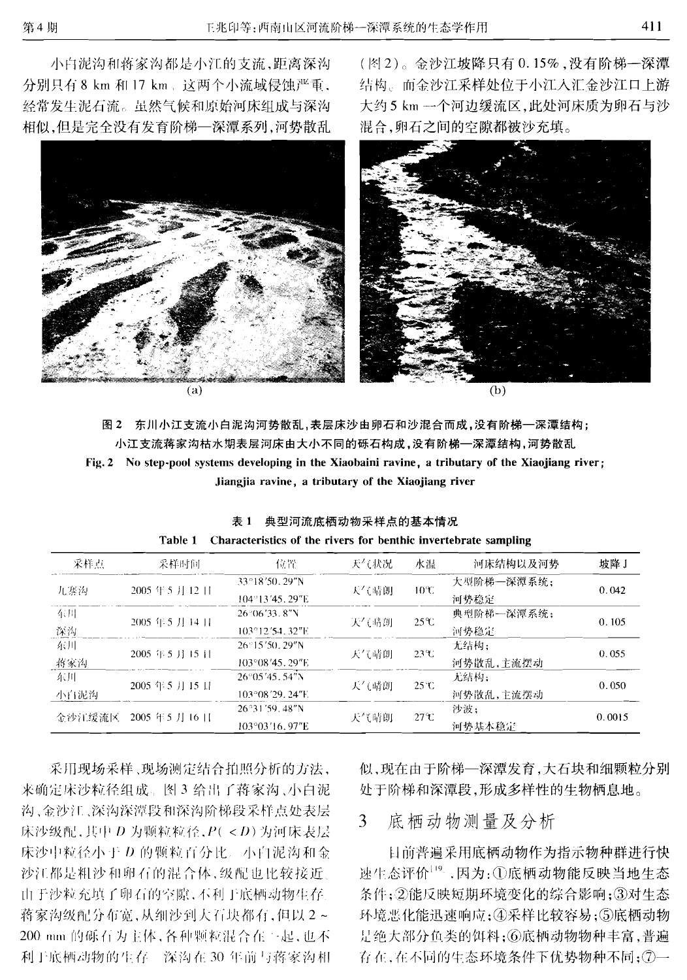小白泥沟和蒋家沟都是小江的支流,距离深沟 分别只有 8 km 和 17 km、这两个小流域侵蚀严重, 经常发生泥石流。虽然气候和原始河床组成与深沟 相似,但是完全没有发育阶梯--深潭系列,河势散乱



 $\alpha$ 

(图2)。金沙江坡降只有0.15%,没有阶梯一深潭 结构。而金沙江采样处位于小江入汇金沙江口上游 大约5 km 一个河边缓流区,此处河床质为卵石与沙 混合,卵石之间的空隙都被沙充填。



 $(h)$ 

图2 东川小江支流小白泥沟河势散乱,表层床沙由卵石和沙混合而成,没有阶梯一深潭结构; 小江支流蒋家沟枯水期表层河床由大小不同的砾石构成,没有阶梯--深潭结构,河势散乱 Fig. 2 No step-pool systems developing in the Xiaobaini ravine, a tributary of the Xiaojiang river: Jiangjia ravine, a tributary of the Xiaojiang river

| 采样点    | 采样时间                         | 位置                       | 天气状况 | 水温              | 河床结构以及河势    | 坡降J    |  |
|--------|------------------------------|--------------------------|------|-----------------|-------------|--------|--|
| 九寨沟    |                              | 33°18'50, 29"N           |      | $10^{\circ}$ C  | 大型阶梯--深潭系统; |        |  |
|        | 2005年5月12日                   | $104^{\circ}13'45.29''E$ | 天气晴朗 |                 | 河势稳定        | 0.042  |  |
| 东川     |                              | $26^{\circ}06'33.8''$ N  |      | $25^\circ$ C    | 典型阶梯--深潭系统; |        |  |
| 深沟     | 2005年5月14日                   | $103^{\circ}12'54.32''E$ | 天气晴朗 |                 | 河势稳定        | 0.105  |  |
| 东川     | $2005 \div 5$ J $\div 15$ il | 26°15'50.29"N            |      | $23\text{°C}$   | 无结构:        | 0.055  |  |
| 将家沟    |                              | 103°08'45.29"E           | 天气晴朗 |                 | 河势散乱,主流摆动   |        |  |
| 东川     | 2005年5月15日                   | $26^{\circ}05'45.54''N$  | 天气晴朗 | $25^{\circ}C$   | 无结构:        | 0.050  |  |
| 小白泥沟   |                              | $103^{\circ}08'29.24''E$ |      |                 | 河势散乱,主流摆动   |        |  |
| 金沙江绥流区 | 2005年5月16日                   | 26°31'59.48"N            | 天气晴朗 | $27\mathcal{X}$ | 沙波:         | 0.0015 |  |
|        |                              | 103°03'16.97"E           |      |                 | 河势基本稳定      |        |  |

表 1 典型河流底栖动物采样点的基本情况 Table 1 Characteristics of the rivers for benthic invertebrate sampling

采用现场采样、现场测定结合拍照分析的方法, 来确定床沙粒径组成。图 3 给出了蒋家沟、小白泥 沟、金沙江、深沟深潭段和深沟阶梯段采样点处表层 床沙级配,其中 D 为颗粒粒径, P( < D) 为河床表层 床沙中粒径小于 D 的颗粒百分比。小白泥沟和金 沙江都是粗沙和卵石的混合体,级配也比较接近。 由于沙粒充填了卵石的空隙,不利于底栖动物生存。 蒋家沟级配分布宽,从细沙到大石块都有,但以2~ 200 mm 的砾石为主体,各种颗粒混合在一起,也不 利于底栖动物的生存。深沟在30年前与蒋家沟相 似,现在由于阶梯--深潭发育,大石块和细颗粒分别 处于阶梯和深潭段,形成多样性的生物栖息地。

### 底栖动物测量及分析 3

目前普遍采用底栖动物作为指示物种群进行快 速生态评价<sup>19</sup>。因为:1厄底栖动物能反映当地生态 条件;②能反映短期环境变化的综合影响;③对生态 环境恶化能迅速响应;4采样比较容易;5底栖动物 是绝大部分鱼类的饵料;⑥底栖动物物种丰富,普遍 存在,在不同的生态环境条件下优势物种不同; ⑦一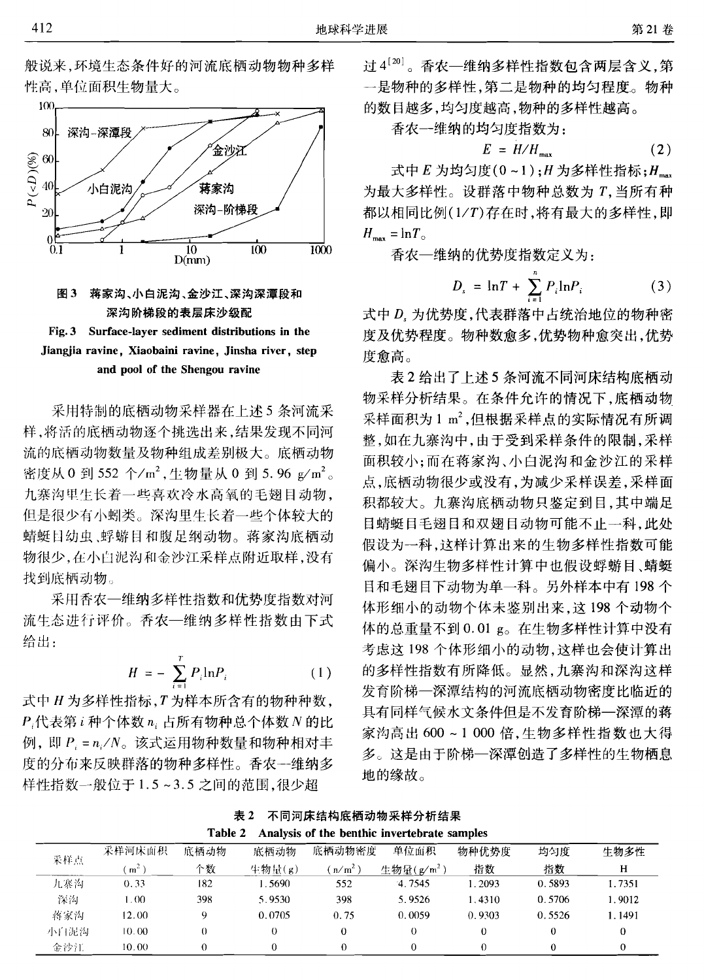





采用特制的底栖动物采样器在上述5条河流采 样,将活的底栖动物逐个挑选出来,结果发现不同河 流的底栖动物数量及物种组成差别极大。底栖动物 密度从 0 到 552 个/m<sup>2</sup>, 生物量从 0 到 5.96 g/m<sup>2</sup>。 九寨沟里生长着一些喜欢冷水高氧的毛翅目动物, 但是很少有小蚓类。深沟里生长着一些个体较大的 蜻蜓目幼虫、蜉蝣目和腹足纲动物。蒋家沟底栖动 物很少,在小白泥沟和金沙江采样点附近取样,没有 找到底栖动物。

采用香农一维纳多样性指数和优势度指数对河 流生态进行评价。香农一维纳多样性指数由下式 给出.

$$
H = -\sum_{i=1}^{T} P_i \ln P_i \tag{1}
$$

式中 H 为多样性指标, T 为样本所含有的物种种数, P.代表第i种个体数 n. 占所有物种总个体数 N 的比 例, 即 P = n /N。该式运用物种数量和物种相对丰 度的分布来反映群落的物种多样性。香农一维纳多 样性指数一般位于1.5~3.5之间的范围,很少超

过4<sup>[20]</sup>。香农一维纳多样性指数包含两层含义,第 一是物种的多样性,第二是物种的均匀程度。物种 的数目越多,均匀度越高,物种的多样性越高。

香农一维纳的均匀度指数为:

$$
E = H/H_{\text{max}} \tag{2}
$$

式中 E 为均匀度(0~1): H 为多样性指标: H\_\_\_ 为最大多样性。设群落中物种总数为T. 当所有种 都以相同比例(1/T)存在时,将有最大的多样性,即  $H_{\text{max}} = \ln T_{\odot}$ 

香农一维纳的优势度指数定义为:

$$
D_s = \ln T + \sum_{i=1}^{n} P_i \ln P_i \tag{3}
$$

式中 D. 为优势度,代表群落中占统治地位的物种密 度及优势程度。物种数愈多,优势物种愈突出,优势 度愈高。

表2给出了上述5条河流不同河床结构底栖动 物采样分析结果。在条件允许的情况下,底栖动物 采样面积为1 m2, 但根据采样点的实际情况有所调 整,如在九寨沟中,由于受到采样条件的限制,采样 面积较小:而在蒋家沟、小白泥沟和金沙江的采样 点,底栖动物很少或没有,为减少采样误差,采样面 积都较大。九寨沟底栖动物只鉴定到目,其中端足 目蜻蜓目毛翅目和双翅目动物可能不止一科,此处 假设为一科,这样计算出来的生物多样性指数可能 偏小。深沟生物多样性计算中也假设蜉蝣目、蜻蜓 目和毛翅目下动物为单一科。另外样本中有198个 体形细小的动物个体未鉴别出来, 这198个动物个 体的总重量不到 0.01 g。在生物多样性计算中没有 考虑这198个体形细小的动物,这样也会使计算出 的多样性指数有所降低。显然,九寨沟和深沟这样 发育阶梯一深潭结构的河流底栖动物密度比临近的 具有同样气候水文条件但是不发育阶梯一深潭的蒋 家沟高出600~1000倍,生物多样性指数也大得 多。这是由于阶梯一深潭创造了多样性的生物栖息 地的缘故。

| 表 2 不同河床结构底栖动物采样分析结果                                  |
|-------------------------------------------------------|
| Toble 2. Analysis of the benthic invertebrate samples |

| ------<br>$\cdots$ |                  |      |        |                                |                    |        |        |        |  |
|--------------------|------------------|------|--------|--------------------------------|--------------------|--------|--------|--------|--|
| 采样点                | 采样河床面积           | 底栖动物 | 底栖动物   | 底栖动物密度                         | 单位面积               | 物种优势度  | 均匀度    | 生物多性   |  |
|                    | m <sup>2</sup>   | 个数   | 生物量(g) | $\left(\frac{\pi}{m^2}\right)$ | 生物量 $(\alpha/m^2)$ | 指数     | 指数     | н      |  |
| 九寨沟                | 0.33             | 182  | .5690  | 552                            | 4.7545             | 1.2093 | 0.5893 | 1.7351 |  |
| 深沟                 | .00 <sub>1</sub> | 398  | 5.9530 | 398                            | 5.9526             | 1.4310 | 0.5706 | 1.9012 |  |
| 蒋家沟                | 12.00            | 9    | 0.0705 | 0.75                           | 0.0059             | 0.9303 | 0.5526 | 1.1491 |  |
| 小白泥沟               | 10.00            |      |        |                                | $_{0}$             |        |        | 0      |  |
| 金沙江                | 10.00            |      |        |                                |                    |        |        | 0      |  |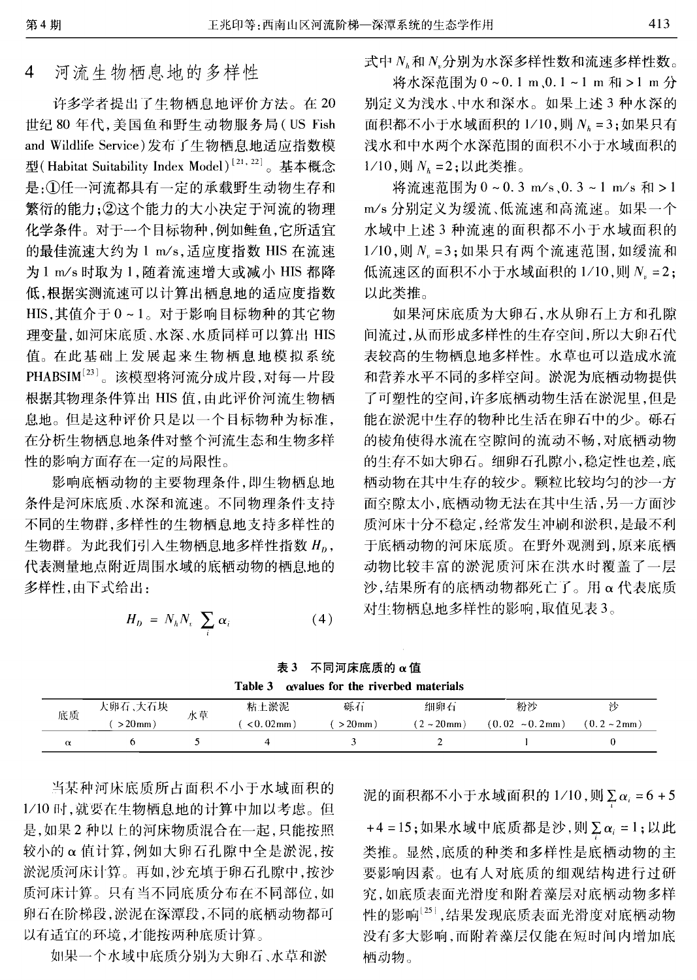#### 河流生物栖息地的多样性  $\overline{4}$

许多学者提出了生物栖息地评价方法。在20 世纪 80年代,美国鱼和野生动物服务局(US Fish and Wildlife Service)发布了生物栖息地适应指数模 型(Habitat Suitability Index Model)<sup>[21,22]</sup>。基本概念 是:1任一河流都具有一定的承载野生动物生存和 繁衍的能力; ②这个能力的大小决定于河流的物理 化学条件。对于一个目标物种,例如鲑鱼,它所适宜 的最佳流速大约为 1 m/s, 适应度指数 HIS 在流速 为1 m/s 时取为1,随着流速增大或减小 HIS 都降 低,根据实测流速可以计算出栖息地的适应度指数 HIS, 其值介于 0~1。对于影响目标物种的其它物 理变量,如河床底质、水深、水质同样可以算出 HIS 值。在此基础上发展起来生物栖息地模拟系统 PHABSIM<sup>[23]</sup>。该模型将河流分成片段,对每一片段 根据其物理条件算出 HIS 值,由此评价河流生物栖 息地。但是这种评价只是以一个目标物种为标准, 在分析生物栖息地条件对整个河流生态和生物多样 性的影响方面存在一定的局限性。

影响底栖动物的主要物理条件,即生物栖息地 条件是河床底质、水深和流速。不同物理条件支持 不同的生物群,多样性的生物栖息地支持多样性的 生物群。为此我们引入生物栖息地多样性指数 H<sub>n</sub>, 代表测量地点附近周围水域的底栖动物的栖息地的 多样性,由下式给出:

$$
H_D = N_h N_e \sum_i \alpha_i \tag{4}
$$

式中 N 和 N 分别为水深多样性数和流速多样性数。

将水深范围为0~0.1 m、0.1~1 m 和 >1 m 分 别定义为浅水、中水和深水。如果上述3种水深的 面积都不小于水域面积的 $1/10$ ,则 $N_h = 3$ ;如果只有 浅水和中水两个水深范围的面积不小于水域面积的  $1/10$ ,则  $N<sub>k</sub> = 2$ ;以此类推。

将流速范围为0~0.3 m/s,0.3~1 m/s 和>1 m/s 分别定义为缓流、低流速和高流速。如果一个 水域中上述3种流速的面积都不小于水域面积的  $1/10$ ,则 $N_{\nu} = 3$ ;如果只有两个流速范围,如缓流和 低流速区的面积不小于水域面积的 1/10,则 N = 2; 以此类推。

如果河床底质为大卵石,水从卵石上方和孔隙 间流过,从而形成多样性的生存空间,所以大卵石代 表较高的生物栖息地多样性。水草也可以造成水流 和营养水平不同的多样空间。淤泥为底栖动物提供 了可塑性的空间,许多底栖动物生活在淤泥里,但是 能在淤泥中生存的物种比生活在卵石中的少。砾石 的棱角使得水流在空隙间的流动不畅,对底栖动物 的生存不如大卵石。细卵石孔隙小,稳定性也差,底 栖动物在其中生存的较少。颗粒比较均匀的沙一方 面空隙太小,底栖动物无法在其中生活,另一方面沙 质河床十分不稳定,经常发生冲刷和淤积,是最不利 于底栖动物的河床底质。在野外观测到,原来底栖 动物比较丰富的淤泥质河床在洪水时覆盖了一层 沙,结果所有的底栖动物都死亡了。用α代表底质 对生物栖息地多样性的影响,取值见表3。

表 3 不同河床底质的 α值 Table 3  $\alpha$ values for the riverbed materials

| ------ |                 |    |                 |           |                  |                      |               |  |  |
|--------|-----------------|----|-----------------|-----------|------------------|----------------------|---------------|--|--|
| 底质     | <b>大卵石 ,大石块</b> | 水草 | 粘土淤泥            | 砾石        | 细卵石              | 粉沙                   |               |  |  |
|        | $>20$ mm $)$    |    | $< 0.02$ mm $)$ | $>20$ mm) | $(2 - 20$ mm $)$ | $(0.02 \sim 0.2$ mm) | $(0.2 - 2mm)$ |  |  |
|        |                 |    |                 |           |                  |                      |               |  |  |

当某种河床底质所占面积不小于水域面积的 1/10时,就要在生物栖息地的计算中加以考虑。但 是,如果2种以上的河床物质混合在一起,只能按照 较小的 α 值计算, 例如大卵石孔隙中全是淤泥, 按 淤泥质河床计算。再如,沙充填于卵石孔隙中,按沙 质河床计算。只有当不同底质分布在不同部位,如 卵石在阶梯段,淤泥在深潭段,不同的底栖动物都可 以有适宜的环境,才能按两种底质计算。

如果一个水域中底质分别为大卵石、水草和淤

泥的面积都不小于水域面积的  $1/10$ ,则 $\sum \alpha_i = 6 + 5$ 

 $+4 = 15$ ; 如果水域中底质都是沙, 则 $\sum \alpha_i = 1$ ; 以此 类推。显然,底质的种类和多样性是底栖动物的主 要影响因素。也有人对底质的细观结构进行过研 究,如底质表面光滑度和附着藻层对底栖动物多样 性的影响[25],结果发现底质表面光滑度对底栖动物 没有多大影响,而附着藻层仅能在短时间内增加底 栖动物。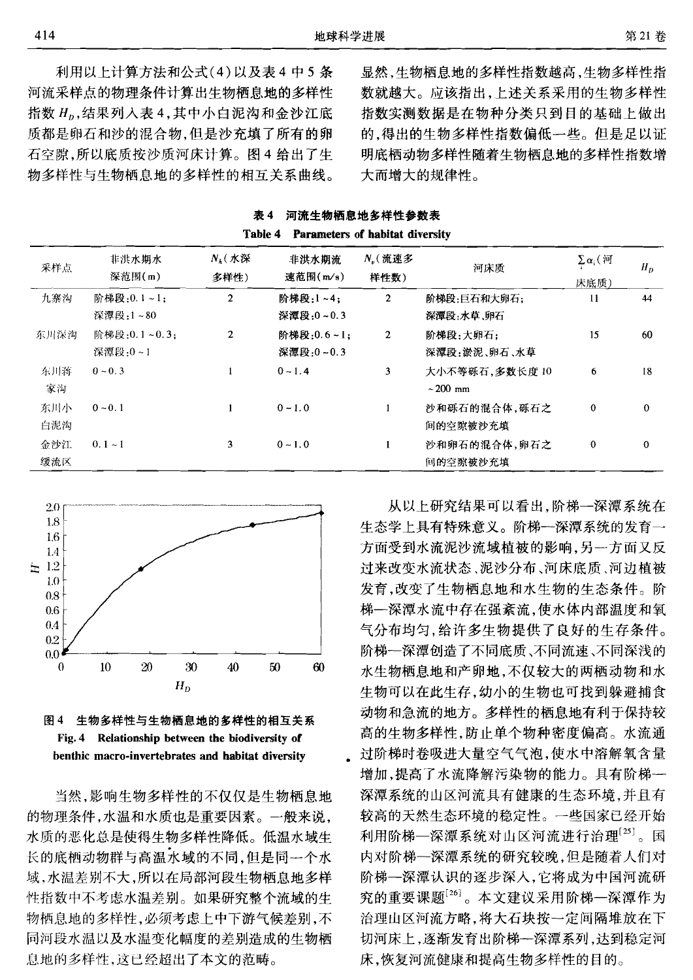利用以上计算方法和公式(4)以及表4中5条 河流采样点的物理条件计算出生物栖息地的多样性 指数 H<sub>0</sub>,结果列入表 4,其中小白泥沟和金沙江底 质都是卵石和沙的混合物,但是沙充填了所有的卵 石空隙,所以底质按沙质河床计算。图 4 给出了生 物多样性与生物栖息地的多样性的相互关系曲线。

显然,生物栖息地的多样性指数越高,生物多样性指 数就越大。应该指出,上述关系采用的生物多样性 指数实测数据是在物种分类只到目的基础上做出 的,得出的生物多样性指数偏低一些。但是足以证 明底栖动物多样性随着生物栖息地的多样性指数增 大而增大的规律性。

表 4 河流生物栖息地多样性参数表 Table 4 Parameters of habitat diversity

| 采样点        | 非洪水期水<br>深范围(m)         | $N_k$ (水深<br>多样性) | 非洪水期流<br>速范围(m/s)       | N,(流速多<br>样性数) | 河床质                            | $\sum \alpha_i$ ( $i\overline{v}$ )<br>床底质) | $H_D$    |
|------------|-------------------------|-------------------|-------------------------|----------------|--------------------------------|---------------------------------------------|----------|
| 九寨沟        | 阶梯段:0.1~1:<br>深潭段:1~80  | $\overline{2}$    | 阶梯段:1~4;<br>深潭段:0~0.3   | $\overline{2}$ | 阶梯段:巨石和大卵石;<br>深潭段:水草、卵石       | $\mathbf{11}$                               | 44       |
| 东川深沟       | 阶梯段:0.1~0.3:<br>深潭段:0~1 | $\overline{2}$    | 阶梯段:0.6~1:<br>深潭段:0~0.3 | $\mathbf{2}$   | 阶梯段:大卵石:<br>深潭段:淤泥、卵石、水草       | 15                                          | 60       |
| 东川落<br>家沟  | $0 \sim 0.3$            |                   | $0 - 1.4$               | 3              | 大小不等砾石,多数长度10<br>$\sim$ 200 mm | 6                                           | 18       |
| 东川小<br>白泥沟 | $0 \sim 0.1$            |                   | $0 - 1.0$               | 1              | 沙和砾石的混合体,砾石之<br>间的空隙被沙充填       | $\mathbf 0$                                 | $\Omega$ |
| 金沙江<br>缓流区 | $0.1 - 1$               | 3                 | $0 - 1.0$               | 1              | 沙和卵石的混合体,卵石之<br>间的空隙被沙充填       | $\bf{0}$                                    | $\Omega$ |





当然,影响生物多样性的不仅仅是生物栖息地 的物理条件,水温和水质也是重要因素。一般来说, 水质的恶化总是使得生物多样性降低。低温水域生 长的底栖动物群与高温水域的不同,但是同一个水 域,水温差别不大,所以在局部河段生物栖息地多样 性指数中不考虑水温差别。如果研究整个流域的生 物栖息地的多样性,必须考虑上中下游气候差别,不 同河段水温以及水温变化幅度的差别造成的生物栖 息地的多样性,这已经超出了本文的范畴。

从以上研究结果可以看出,阶梯一深潭系统在 生态学上具有特殊意义。阶梯一深潭系统的发育一 方面受到水流泥沙流域植被的影响,另一方面又反 过来改变水流状态、泥沙分布、河床底质、河边植被 发育,改变了生物栖息地和水生物的生态条件。阶 梯一深潭水流中存在强紊流,使水体内部温度和氧 气分布均匀,给许多生物提供了良好的生存条件。 阶梯一深潭创造了不同底质、不同流速、不同深浅的 水生物栖息地和产卵地,不仅较大的两栖动物和水 生物可以在此生存,幼小的生物也可找到躲避捕食 动物和急流的地方。多样性的栖息地有利于保持较 高的生物多样性,防止单个物种密度偏高。水流通 过阶梯时卷吸进大量空气气泡,使水中溶解氧含量 增加,提高了水流降解污染物的能力。具有阶梯--深潭系统的山区河流具有健康的生态环境,并且有 较高的天然生态环境的稳定性。一些国家已经开始 利用阶梯—深潭系统对山区河流进行治理[25]。国 内对阶梯一深潭系统的研究较晚,但是随着人们对 阶梯一深潭认识的逐步深入,它将成为中国河流研 究的重要课题[26]。本文建议采用阶梯一深潭作为 治理山区河流方略,将大石块按一定间隔堆放在下 切河床上,逐渐发育出阶梯一深潭系列,达到稳定河 床,恢复河流健康和提高生物多样性的目的。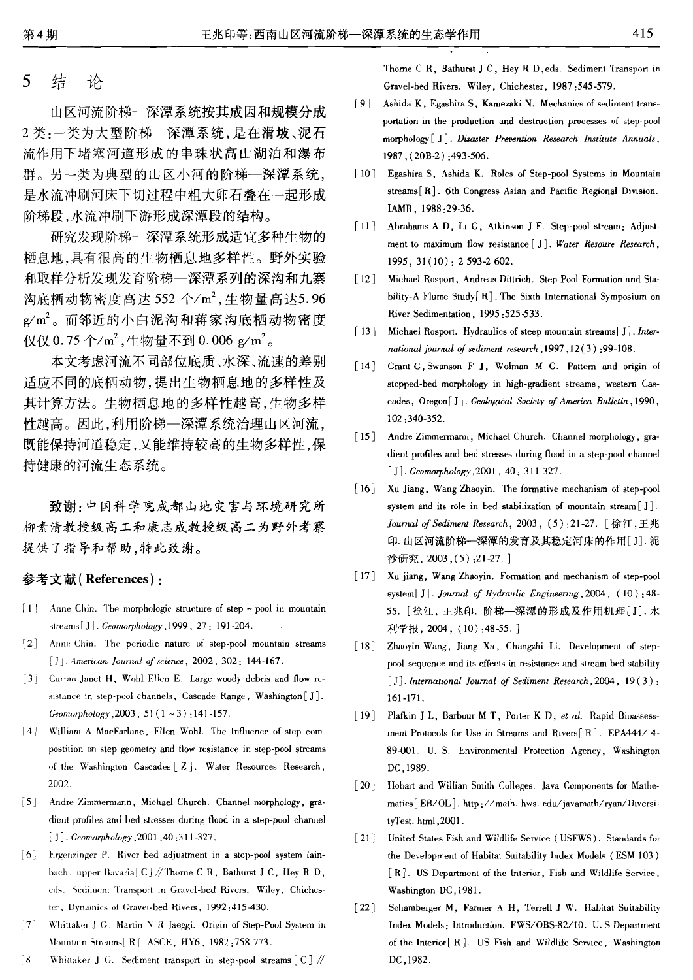#### 5 结 is

山区河流阶梯一深潭系统按其成因和规模分成 2类:一类为大型阶梯一深潭系统,是在滑坡、泥石 流作用下堵塞河道形成的串珠状高山湖泊和瀑布 群。另一类为典型的山区小河的阶梯--深潭系统, 是水流冲刷河床下切过程中粗大卵石叠在一起形成 阶梯段,水流冲刷下游形成深潭段的结构。

研究发现阶梯一深潭系统形成适宜多种生物的 栖息地,具有很高的生物栖息地多样性。野外实验 和取样分析发现发育阶梯一深潭系列的深沟和九寨 沟底栖动物密度高达 552 个/m2, 生物量高达5.96 g/m2。而邻近的小白泥沟和蒋家沟底栖动物密度 仅仅 0.75个/m<sup>2</sup>,生物量不到 0.006 g/m<sup>2</sup>。

本文考虑河流不同部位底质、水深、流速的差别 适应不同的底栖动物,提出生物栖息地的多样性及 其计算方法。生物栖息地的多样性越高,生物多样 性越高。因此,利用阶梯--深潭系统治理山区河流, 既能保持河道稳定,又能维持较高的生物多样性,保 持健康的河流生态系统。

致谢:中国科学院成都山地灾害与环境研究所 柳素清教授级高工和康志成教授级高工为野外考察 提供了指导和帮助,特此致谢。

## 参考文献(References):

- $\lceil 1 \rceil$  Anne Chin. The morphologic structure of step pool in mountain streams[J]. Geomorphology, 1999, 27: 191-204.
- $\lceil 2 \rceil$ Anne Chin. The periodic nature of step-pool mountain streams [J] American Journal of science, 2002, 302: 144-167.
- [3] Curran Janet H, Wohl Ellen E. Large woody debris and flow resistance in step-pool channels, Cascade Range, Washington [J]. Geomorphology 2003,  $51(1 - 3)$ , 141-157.
- [4] William A MacFarlane, Ellen Wohl. The Influence of step compostition on step geometry and flow resistance in step-pool streams of the Washington Cascades [Z]. Water Resources Research, 2002.
- [5] Andre Zimmermann, Michael Church. Channel morphology, gradient profiles and bed stresses during flood in a step-pool channel [J]. Geomorphology, 2001, 40:311-327.
- [6] Ergenzinger P. River bed adjustment in a step-pool system lainbach, upper Bavaria<sup>[C]</sup>//Thorne CR, Bathurst JC, Hey RD, eds. Sediment Transport in Gravel-bed Rivers. Wiley, Chichester, Dynamics of Gravel-bed Rivers, 1992;415-430.
- $17$ Whittaker J G, Martin N R Jaeggi. Origin of Step-Pool System in Mountain Streams [R]. ASCE, HY6, 1982:758-773.
- $8<sub>1</sub>$ Whittaker J G. Sediment transport in step-pool streams [C] //

Thorne C R, Bathurst J C, Hey R D, eds. Sediment Transport in Gravel-bed Rivers. Wiley, Chichester, 1987;545-579.

- [9] Ashida K, Egashira S, Kamezaki N. Mechanics of sediment transportation in the production and destruction processes of step-pool morphology [J]. Disaster Prevention Research Institute Annuals, 1987, (20B-2): 493-506.
- [10] Egashira S. Ashida K. Roles of Step-pool Systems in Mountain streams  $\lceil R \rceil$ . 6th Congress Asian and Pacific Regional Division. IAMR, 1988-29-36.
- $[11]$ Abrahams A D, Li G, Atkinson J F. Step-pool stream: Adjustment to maximum flow resistance [ J ]. Water Resoure Research, 1995, 31(10): 2 593-2 602.
- $[12]$ Michael Rosport, Andreas Dittrich. Step Pool Formation and Stability-A Flume Study [R]. The Sixth International Symposium on River Sedimentation, 1995:525-533.
- $[13]$ Michael Rosport. Hydraulics of steep mountain streams [J]. International journal of sediment research, 1997, 12(3): 99-108.
- $[14]$ Grant G, Swanson F J, Wolman M G. Pattern and origin of stepped-bed morphology in high-gradient streams, western Cascades, Oregon[J]. Geological Society of America Bulletin, 1990, 102:340-352.
- $\lceil 15 \rceil$ Andre Zimmermann, Michael Church. Channel morphology, gradient profiles and bed stresses during flood in a step-pool channel [J]. Geomorphology, 2001, 40: 311-327.
- $[16]$ Xu Jiang, Wang Zhaoyin. The formative mechanism of step-pool system and its role in bed stabilization of mountain stream [J]. Journal of Sediment Research, 2003, (5):21-27. 「徐江, 王兆 印. 山区河流阶梯一深潭的发育及其稳定河床的作用[J]. 泥 沙研究, 2003, (5): 21-27.]
- $\lceil 17 \rceil$ Xu jiang, Wang Zhaoyin. Formation and mechanism of step-pool system [J]. Journal of Hydraulic Engineering 2004,  $(10)$ : 48-55. [徐江, 王兆印. 阶梯一深潭的形成及作用机理[J]. 水 利学报, 2004, (10):48-55.
- $[18]$ Zhaoyin Wang, Jiang Xu, Changzhi Li. Development of steppool sequence and its effects in resistance and stream bed stability [J]. International Journal of Sediment Research, 2004, 19(3):  $161 - 171.$
- [19] Plafkin J L, Barbour M T, Porter K D, et al. Rapid Bioassessment Protocols for Use in Streams and Rivers [R]. EPA444/ 4-89-001. U.S. Environmental Protection Agency, Washington DC.1989.
- $\lceil 20 \rceil$ Hobart and Willian Smith Colleges. Java Components for Mathematics[EB/OL]. http://math. hws. edu/javamath/ryan/DiversityTest. html, 2001.
- $\lceil 21 \rceil$ United States Fish and Wildlife Service (USFWS). Standards for the Development of Habitat Suitability Index Models (ESM 103) [R]. US Department of the Interior, Fish and Wildlife Service, Washington DC 1981.
- Schamberger M, Farmer A H, Terrell J W. Habitat Suitability  $[22]$ Index Models: Introduction. FWS/OBS-82/10. U.S Department of the Interior [R]. US Fish and Wildlife Service, Washington DC, 1982.